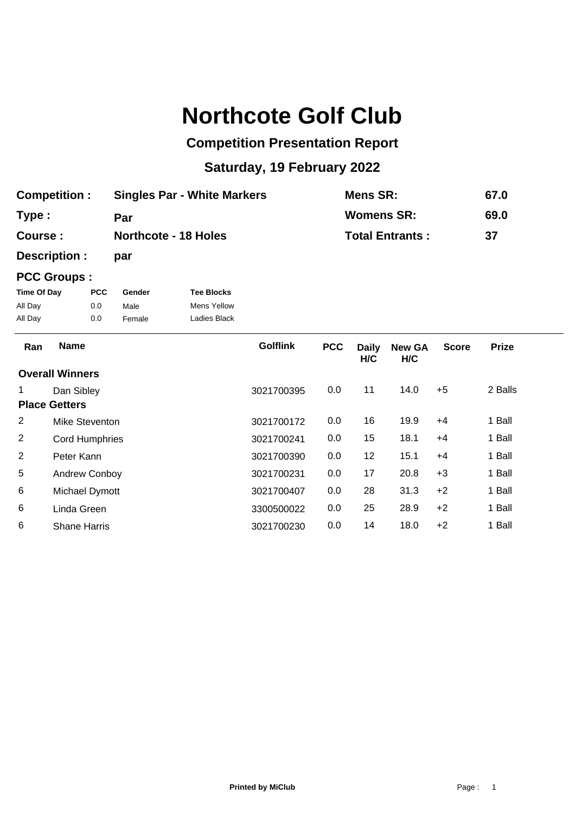## **Northcote Golf Club**

## **Competition Presentation Report**

## **Saturday, 19 February 2022**

| <b>Competition:</b> | <b>Singles Par - White Markers</b> | Mens SR:               | 67.0 |
|---------------------|------------------------------------|------------------------|------|
| Type:               | Par                                | <b>Womens SR:</b>      | 69.0 |
| Course:             | <b>Northcote - 18 Holes</b>        | <b>Total Entrants:</b> | -37  |

**Description : par**

## **PCC Groups :**

| Time Of Day | <b>PCC</b> | Gender | <b>Tee Blocks</b> |
|-------------|------------|--------|-------------------|
| All Day     | 0.0        | Male   | Mens Yellow       |
| All Day     | 0.0        | Female | Ladies Black      |

| Ran                    | <b>Name</b>           | <b>Golflink</b> | <b>PCC</b> | <b>Daily</b><br>H/C | <b>New GA</b><br>H/C | <b>Score</b> | <b>Prize</b> |
|------------------------|-----------------------|-----------------|------------|---------------------|----------------------|--------------|--------------|
| <b>Overall Winners</b> |                       |                 |            |                     |                      |              |              |
| 1                      | Dan Sibley            | 3021700395      | 0.0        | 11                  | 14.0                 | $+5$         | 2 Balls      |
| <b>Place Getters</b>   |                       |                 |            |                     |                      |              |              |
| 2                      | Mike Steventon        | 3021700172      | 0.0        | 16                  | 19.9                 | $+4$         | 1 Ball       |
| 2                      | <b>Cord Humphries</b> | 3021700241      | 0.0        | 15                  | 18.1                 | $+4$         | 1 Ball       |
| 2                      | Peter Kann            | 3021700390      | 0.0        | 12                  | 15.1                 | $+4$         | 1 Ball       |
| 5                      | Andrew Conboy         | 3021700231      | 0.0        | 17                  | 20.8                 | $+3$         | 1 Ball       |
| 6                      | Michael Dymott        | 3021700407      | 0.0        | 28                  | 31.3                 | $+2$         | 1 Ball       |
| 6                      | Linda Green           | 3300500022      | 0.0        | 25                  | 28.9                 | $+2$         | 1 Ball       |
| 6                      | <b>Shane Harris</b>   | 3021700230      | 0.0        | 14                  | 18.0                 | $+2$         | 1 Ball       |